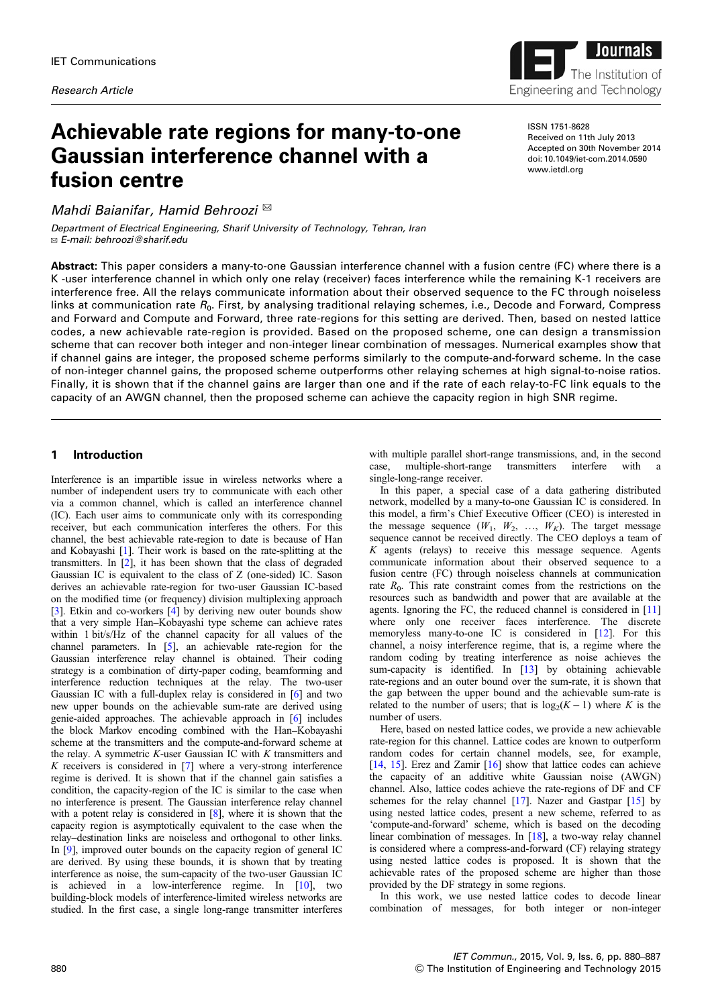

# Achievable rate regions for many-to-one Gaussian interference channel with a fusion centre

Mahdi Baianifar, Hamid Behroozi  $^{\boxtimes}$ 

Department of Electrical Engineering, Sharif University of Technology, Tehran, Iran ✉ E-mail: behroozi@sharif.edu

ISSN 1751-8628 Received on 11th July 2013 Accepted on 30th November 2014 doi: 10.1049/iet-com.2014.0590 www.ietdl.org

Abstract: This paper considers a many-to-one Gaussian interference channel with a fusion centre (FC) where there is a K -user interference channel in which only one relay (receiver) faces interference while the remaining K-1 receivers are interference free. All the relays communicate information about their observed sequence to the FC through noiseless links at communication rate  $R_0$ . First, by analysing traditional relaying schemes, i.e., Decode and Forward, Compress and Forward and Compute and Forward, three rate-regions for this setting are derived. Then, based on nested lattice codes, a new achievable rate-region is provided. Based on the proposed scheme, one can design a transmission scheme that can recover both integer and non-integer linear combination of messages. Numerical examples show that if channel gains are integer, the proposed scheme performs similarly to the compute-and-forward scheme. In the case of non-integer channel gains, the proposed scheme outperforms other relaying schemes at high signal-to-noise ratios. Finally, it is shown that if the channel gains are larger than one and if the rate of each relay-to-FC link equals to the capacity of an AWGN channel, then the proposed scheme can achieve the capacity region in high SNR regime.

# 1 Introduction

Interference is an impartible issue in wireless networks where a number of independent users try to communicate with each other via a common channel, which is called an interference channel (IC). Each user aims to communicate only with its corresponding receiver, but each communication interferes the others. For this channel, the best achievable rate-region to date is because of Han and Kobayashi [1]. Their work is based on the rate-splitting at the transmitters. In [2], it has been shown that the class of degraded Gaussian IC is equivalent to the class of Z (one-sided) IC. Sason derives an achievable rate-region for two-user Gaussian IC-based on the modified time (or frequency) division multiplexing approach [3]. Etkin and co-workers [4] by deriving new outer bounds show that a very simple Han–Kobayashi type scheme can achieve rates within 1 bit/s/Hz of the channel capacity for all values of the channel parameters. In [5], an achievable rate-region for the Gaussian interference relay channel is obtained. Their coding strategy is a combination of dirty-paper coding, beamforming and interference reduction techniques at the relay. The two-user Gaussian IC with a full-duplex relay is considered in [6] and two new upper bounds on the achievable sum-rate are derived using genie-aided approaches. The achievable approach in [6] includes the block Markov encoding combined with the Han–Kobayashi scheme at the transmitters and the compute-and-forward scheme at the relay. A symmetric  $K$ -user Gaussian IC with  $K$  transmitters and  $K$  receivers is considered in [7] where a very-strong interference regime is derived. It is shown that if the channel gain satisfies a condition, the capacity-region of the IC is similar to the case when no interference is present. The Gaussian interference relay channel with a potent relay is considered in [8], where it is shown that the capacity region is asymptotically equivalent to the case when the relay–destination links are noiseless and orthogonal to other links. In [9], improved outer bounds on the capacity region of general IC are derived. By using these bounds, it is shown that by treating interference as noise, the sum-capacity of the two-user Gaussian IC is achieved in a low-interference regime. In [10], two building-block models of interference-limited wireless networks are studied. In the first case, a single long-range transmitter interferes

with multiple parallel short-range transmissions, and, in the second case. multiple-short-range transmitters interfere with a case, multiple-short-range transmitters interfere single-long-range receiver.

In this paper, a special case of a data gathering distributed network, modelled by a many-to-one Gaussian IC is considered. In this model, a firm's Chief Executive Officer (CEO) is interested in the message sequence  $(W_1, W_2, ..., W_K)$ . The target message sequence cannot be received directly. The CEO deploys a team of  $K$  agents (relays) to receive this message sequence. Agents communicate information about their observed sequence to a fusion centre (FC) through noiseless channels at communication rate  $R_0$ . This rate constraint comes from the restrictions on the resources such as bandwidth and power that are available at the agents. Ignoring the FC, the reduced channel is considered in [11] where only one receiver faces interference. The discrete memoryless many-to-one IC is considered in [12]. For this channel, a noisy interference regime, that is, a regime where the random coding by treating interference as noise achieves the sum-capacity is identified. In [13] by obtaining achievable rate-regions and an outer bound over the sum-rate, it is shown that the gap between the upper bound and the achievable sum-rate is related to the number of users; that is  $log_2(K-1)$  where K is the number of users.

Here, based on nested lattice codes, we provide a new achievable rate-region for this channel. Lattice codes are known to outperform random codes for certain channel models, see, for example, [14, 15]. Erez and Zamir [16] show that lattice codes can achieve the capacity of an additive white Gaussian noise (AWGN) channel. Also, lattice codes achieve the rate-regions of DF and CF schemes for the relay channel [17]. Nazer and Gastpar [15] by using nested lattice codes, present a new scheme, referred to as 'compute-and-forward' scheme, which is based on the decoding linear combination of messages. In [18], a two-way relay channel is considered where a compress-and-forward (CF) relaying strategy using nested lattice codes is proposed. It is shown that the achievable rates of the proposed scheme are higher than those provided by the DF strategy in some regions.

In this work, we use nested lattice codes to decode linear combination of messages, for both integer or non-integer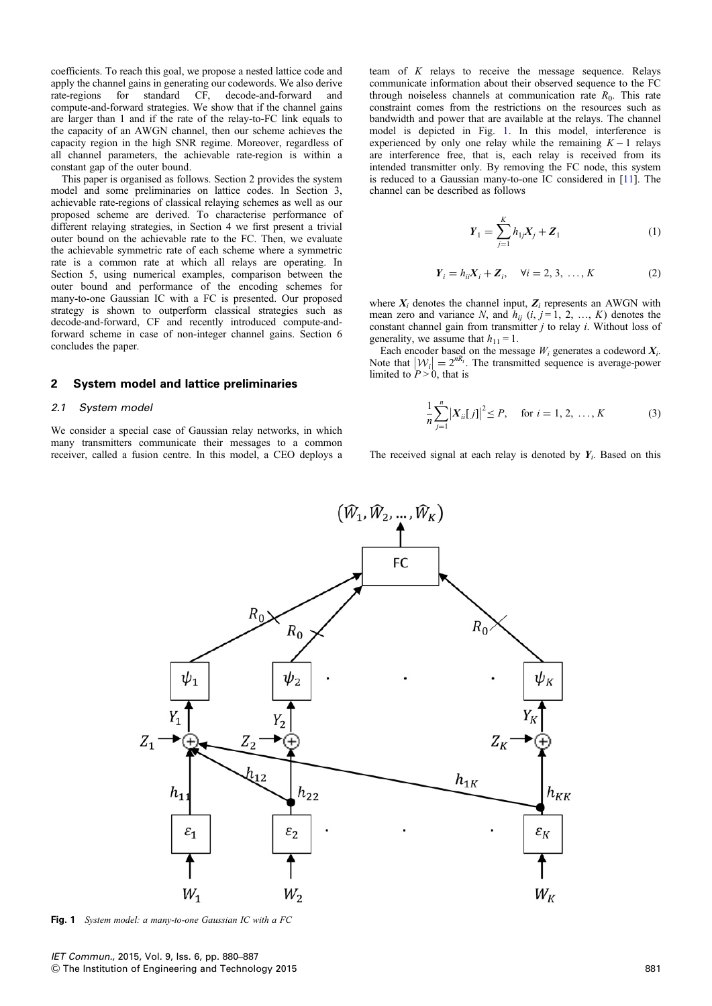coefficients. To reach this goal, we propose a nested lattice code and apply the channel gains in generating our codewords. We also derive rate-regions for standard CF, decode-and-forward and rate-regions for standard CF, decode-and-forward and compute-and-forward strategies. We show that if the channel gains are larger than 1 and if the rate of the relay-to-FC link equals to the capacity of an AWGN channel, then our scheme achieves the capacity region in the high SNR regime. Moreover, regardless of all channel parameters, the achievable rate-region is within a constant gap of the outer bound.

This paper is organised as follows. Section 2 provides the system model and some preliminaries on lattice codes. In Section 3, achievable rate-regions of classical relaying schemes as well as our proposed scheme are derived. To characterise performance of different relaying strategies, in Section 4 we first present a trivial outer bound on the achievable rate to the FC. Then, we evaluate the achievable symmetric rate of each scheme where a symmetric rate is a common rate at which all relays are operating. In Section 5, using numerical examples, comparison between the outer bound and performance of the encoding schemes for many-to-one Gaussian IC with a FC is presented. Our proposed strategy is shown to outperform classical strategies such as decode-and-forward, CF and recently introduced compute-andforward scheme in case of non-integer channel gains. Section 6 concludes the paper.

# 2 System model and lattice preliminaries

#### 2.1 System model

We consider a special case of Gaussian relay networks, in which many transmitters communicate their messages to a common receiver, called a fusion centre. In this model, a CEO deploys a team of K relays to receive the message sequence. Relays communicate information about their observed sequence to the FC through noiseless channels at communication rate  $R_0$ . This rate constraint comes from the restrictions on the resources such as bandwidth and power that are available at the relays. The channel model is depicted in Fig. 1. In this model, interference is experienced by only one relay while the remaining  $K - 1$  relays are interference free, that is, each relay is received from its intended transmitter only. By removing the FC node, this system is reduced to a Gaussian many-to-one IC considered in [11]. The channel can be described as follows

$$
Y_1 = \sum_{j=1}^{K} h_{1j} X_j + Z_1
$$
 (1)

$$
Y_i = h_{ii} X_i + Z_i, \quad \forall i = 2, 3, ..., K
$$
 (2)

where  $X_i$  denotes the channel input,  $Z_i$  represents an AWGN with mean zero and variance N, and  $h_{ij}$  (i, j = 1, 2, ..., K) denotes the constant channel gain from transmitter  $j$  to relay  $i$ . Without loss of generality, we assume that  $h_{11} = 1$ .

Each encoder based on the message  $W_i$  generates a codeword  $X_i$ . Note that  $|W_i| = 2^{nR_i}$ . The transmitted sequence is average-power limited to  $P > 0$ , that is

$$
\frac{1}{n}\sum_{j=1}^{n} |X_{ii}[j]|^2 \le P, \quad \text{for } i = 1, 2, ..., K
$$
 (3)

The received signal at each relay is denoted by  $Y_i$ . Based on this



Fig. 1 System model: a many-to-one Gaussian IC with a FC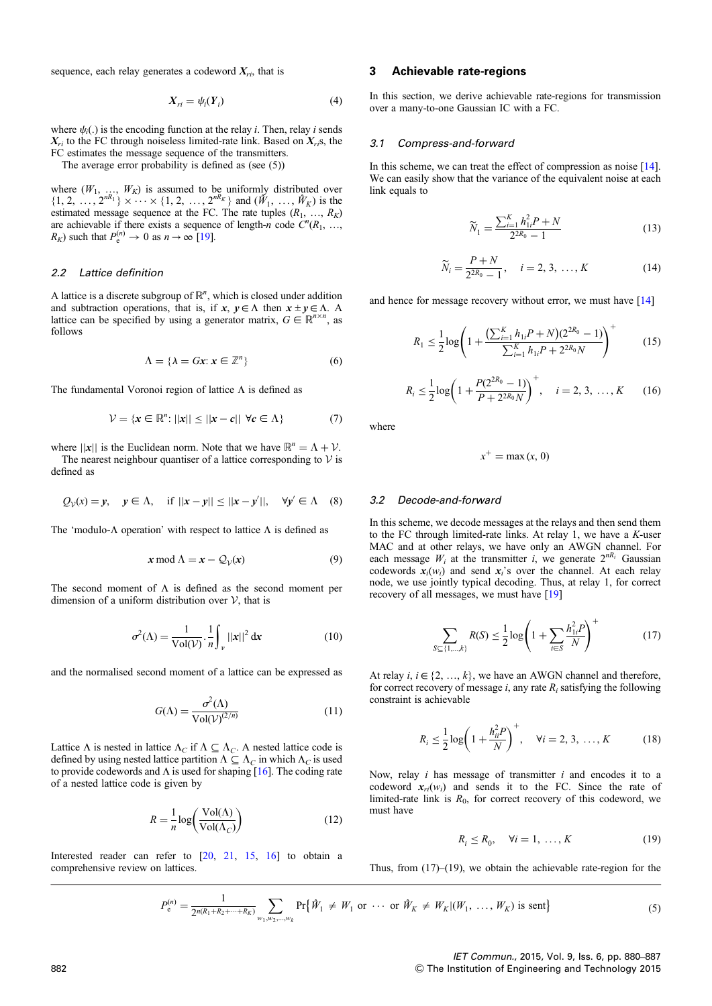sequence, each relay generates a codeword  $X_{ri}$ , that is

$$
X_{ri} = \psi_i(Y_i) \tag{4}
$$

where  $\psi_i(.)$  is the encoding function at the relay i. Then, relay i sends  $X_{ri}$  to the FC through noiseless limited-rate link. Based on  $X_{ri}$ s, the FC estimates the message sequence of the transmitters.

The average error probability is defined as (see (5))

where  $(W_1, ..., W_K)$  is assumed to be uniformly distributed over  $\{1, 2, ..., 2^{nR_1}\} \times \cdots \times \{1, 2, ..., 2^{nR_K}\}$  and  $(\hat{W}_1, ..., \hat{W}_K)$  is the estimated message sequence at the FC. The rate tuples  $(R_1, ..., R_K)$ are achievable if there exists a sequence of length-n code  $\ddot{C}^n(R_1, \ldots,$  $R_K$ ) such that  $P_e^{(n)} \to 0$  as  $n \to \infty$  [19].

#### 2.2 Lattice definition

A lattice is a discrete subgroup of  $\mathbb{R}^n$ , which is closed under addition and subtraction operations, that is, if  $x, y \in \Lambda$  then  $x \pm y \in \Lambda$ . A lattice can be specified by using a generator matrix,  $G \in \mathbb{R}^{n \times n}$ , as follows

$$
\Lambda = \{ \lambda = Gx : x \in \mathbb{Z}^n \}
$$
 (6)

The fundamental Voronoi region of lattice  $\Lambda$  is defined as

$$
\mathcal{V} = \{x \in \mathbb{R}^n : ||x|| \le ||x - c|| \ \forall c \in \Lambda\}
$$
 (7)

where  $||x||$  is the Euclidean norm. Note that we have  $\mathbb{R}^n = \Lambda + \mathcal{V}$ . The nearest neighbour quantiser of a lattice corresponding to  $V$  is defined as

$$
Q_v(x) = y
$$
,  $y \in \Lambda$ , if  $||x - y|| \le ||x - y'||$ ,  $\forall y' \in \Lambda$  (8)

The 'modulo- $\Lambda$  operation' with respect to lattice  $\Lambda$  is defined as

$$
x \bmod \Lambda = x - \mathcal{Q}_{\mathcal{V}}(x) \tag{9}
$$

The second moment of  $\Lambda$  is defined as the second moment per dimension of a uniform distribution over  $V$ , that is

$$
\sigma^2(\Lambda) = \frac{1}{\text{Vol}(\mathcal{V})} \cdot \frac{1}{n} \int_{\mathcal{V}} ||\mathbf{x}||^2 \, \mathrm{d}\mathbf{x} \tag{10}
$$

and the normalised second moment of a lattice can be expressed as

$$
G(\Lambda) = \frac{\sigma^2(\Lambda)}{\text{Vol}(\mathcal{V})^{(2/n)}}\tag{11}
$$

Lattice  $\Lambda$  is nested in lattice  $\Lambda_C$  if  $\Lambda \subseteq \Lambda_C$ . A nested lattice code is defined by using nested lattice partition  $\Lambda \subseteq \Lambda_C$  in which  $\Lambda_C$  is used to provide codewords and  $\Lambda$  is used for shaping [16]. The coding rate of a nested lattice code is given by

$$
R = \frac{1}{n} \log \left( \frac{\text{Vol}(\Lambda)}{\text{Vol}(\Lambda_C)} \right) \tag{12}
$$

Interested reader can refer to [20, 21, 15, 16] to obtain a comprehensive review on lattices.

## 3 Achievable rate-regions

In this section, we derive achievable rate-regions for transmission over a many-to-one Gaussian IC with a FC.

#### 3.1 Compress-and-forward

In this scheme, we can treat the effect of compression as noise [14]. We can easily show that the variance of the equivalent noise at each link equals to

$$
\widetilde{N}_1 = \frac{\sum_{i=1}^{K} h_{1i}^2 P + N}{2^{2R_0} - 1}
$$
\n(13)

$$
\widetilde{N}_i = \frac{P + N}{2^{2R_0} - 1}, \quad i = 2, 3, ..., K
$$
 (14)

and hence for message recovery without error, we must have [14]

$$
R_1 \le \frac{1}{2} \log \left( 1 + \frac{\left( \sum_{i=1}^K h_{1i} P + N \right) \left( 2^{2R_0} - 1 \right)}{\sum_{i=1}^K h_{1i} P + 2^{2R_0} N} \right)^+ \tag{15}
$$

$$
R_i \le \frac{1}{2} \log \left( 1 + \frac{P(2^{2R_0} - 1)}{P + 2^{2R_0} N} \right)^+, \quad i = 2, 3, \dots, K \qquad (16)
$$

where

$$
x^+ = \max(x, 0)
$$

#### 3.2 Decode-and-forward

 $S$ 

In this scheme, we decode messages at the relays and then send them to the FC through limited-rate links. At relay 1, we have a  $K$ -user MAC and at other relays, we have only an AWGN channel. For each message  $W_i$  at the transmitter i, we generate  $2^{nR_i}$  Gaussian codewords  $x_i(w_i)$  and send  $x_i$ 's over the channel. At each relay node, we use jointly typical decoding. Thus, at relay 1, for correct recovery of all messages, we must have [19]

$$
\sum_{\subseteq \{1,\dots,k\}} R(S) \le \frac{1}{2} \log \left( 1 + \sum_{i \in S} \frac{h_{1i}^2 P}{N} \right)^+ \tag{17}
$$

At relay  $i, i \in \{2, ..., k\}$ , we have an AWGN channel and therefore, for correct recovery of message i, any rate  $R_i$  satisfying the following constraint is achievable

$$
R_i \le \frac{1}{2} \log \left( 1 + \frac{h_{ii}^2 P}{N} \right)^+, \quad \forall i = 2, 3, \dots, K \tag{18}
$$

Now, relay  $i$  has message of transmitter  $i$  and encodes it to a codeword  $x_{ri}(w_i)$  and sends it to the FC. Since the rate of limited-rate link is  $R_0$ , for correct recovery of this codeword, we must have

$$
R_i \le R_0, \quad \forall i = 1, \dots, K \tag{19}
$$

Thus, from (17)–(19), we obtain the achievable rate-region for the

$$
P_e^{(n)} = \frac{1}{2^{n(R_1 + R_2 + \dots + R_K)}} \sum_{w_1, w_2, \dots, w_k} \Pr{\{\hat{W}_1 \neq W_1 \text{ or } \dots \text{ or } \hat{W}_K \neq W_K | (W_1, \dots, W_K) \text{ is sent}\}}
$$
(5)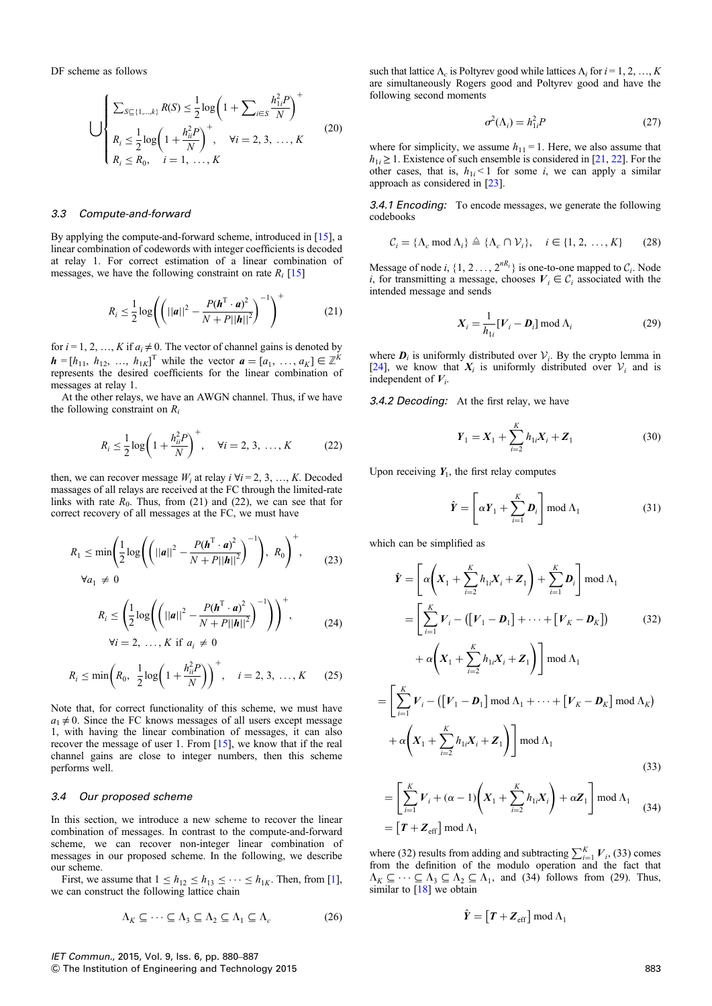DF scheme as follows

$$
\bigcup \left\{\n\begin{aligned}\n\sum_{S \subseteq \{1,\dots,k\}} R(S) &\leq \frac{1}{2} \log \left(1 + \sum_{i \in S} \frac{h_{1i}^2 P}{N}\right)^+ \\
R_i &\leq \frac{1}{2} \log \left(1 + \frac{h_{ii}^2 P}{N}\right)^+, \quad \forall i = 2, 3, \dots, K \\
R_i &\leq R_0, \quad i = 1, \dots, K\n\end{aligned}\n\right.\n\tag{20}
$$

#### 3.3 Compute-and-forward

By applying the compute-and-forward scheme, introduced in [15], a linear combination of codewords with integer coefficients is decoded at relay 1. For correct estimation of a linear combination of messages, we have the following constraint on rate  $R_i$  [15]

$$
R_i \leq \frac{1}{2} \log \left( \left( ||\mathbf{a}||^2 - \frac{P(\mathbf{h}^{\mathrm{T}} \cdot \mathbf{a})^2}{N + P||\mathbf{h}||^2} \right)^{-1} \right)^{+}
$$
(21)

for  $i = 1, 2, ..., K$  if  $a_i \neq 0$ . The vector of channel gains is denoted by  $h = [h_{11}, h_{12}, ..., h_{1K}]^T$  while the vector  $a = [a_1, ..., a_K] \in \mathbb{Z}^K$ represents the desired coefficients for the linear combination of messages at relay 1.

At the other relays, we have an AWGN channel. Thus, if we have the following constraint on  $R_i$ 

$$
R_i \le \frac{1}{2} \log \left( 1 + \frac{h_{ii}^2 P}{N} \right)^+, \quad \forall i = 2, 3, ..., K \tag{22}
$$

then, we can recover message  $W_i$  at relay  $i \forall i = 2, 3, ..., K$ . Decoded massages of all relays are received at the FC through the limited-rate links with rate  $R_0$ . Thus, from (21) and (22), we can see that for correct recovery of all messages at the FC, we must have

$$
R_1 \le \min\left(\frac{1}{2}\log\left(\left(||\mathbf{a}||^2 - \frac{P(\mathbf{h}^{\mathrm{T}} \cdot \mathbf{a})^2}{N + P||\mathbf{h}||^2}\right)^{-1}\right), R_0\right)^+, \qquad (23)
$$
  

$$
\forall \mathbf{a}_1 \neq 0
$$

$$
R_i \le \left(\frac{1}{2}\log\left(\left(||\boldsymbol{a}||^2 - \frac{P(\boldsymbol{h}^{\mathrm{T}} \cdot \boldsymbol{a})^2}{N + P||\boldsymbol{h}||^2}\right)^{-1}\right)\right)^+,
$$
  
\n
$$
\forall i = 2, ..., K \text{ if } a_i \ne 0
$$
\n(24)

$$
R_i \le \min\left(R_0, \ \frac{1}{2}\log\left(1 + \frac{h_{ii}^2 P}{N}\right)\right)^+, \quad i = 2, 3, \ \dots, K \tag{25}
$$

Note that, for correct functionality of this scheme, we must have  $a_1 \neq 0$ . Since the FC knows messages of all users except message 1, with having the linear combination of messages, it can also recover the message of user 1. From [15], we know that if the real channel gains are close to integer numbers, then this scheme performs well.

#### 3.4 Our proposed scheme

In this section, we introduce a new scheme to recover the linear combination of messages. In contrast to the compute-and-forward scheme, we can recover non-integer linear combination of messages in our proposed scheme. In the following, we describe our scheme.

First, we assume that  $1 \leq h_{12} \leq h_{13} \leq \cdots \leq h_{1K}$ . Then, from [1], we can construct the following lattice chain

$$
\Lambda_K \subseteq \dots \subseteq \Lambda_3 \subseteq \Lambda_2 \subseteq \Lambda_1 \subseteq \Lambda_c \tag{26}
$$

such that lattice 
$$
\Lambda_c
$$
 is Polyrev good while lattices  $\Lambda_i$  for  $i = 1, 2, ..., K$  are simultaneously Rogers good and Polyrev good and have the following second moments

$$
\sigma^2(\Lambda_i) = h_{1i}^2 P \tag{27}
$$

where for simplicity, we assume  $h_{11} = 1$ . Here, we also assume that  $h_{1i} \geq 1$ . Existence of such ensemble is considered in [21, 22]. For the other cases, that is,  $h_{1i}$  < 1 for some *i*, we can apply a similar approach as considered in [23].

3.4.1 Encoding: To encode messages, we generate the following codebooks

$$
\mathcal{C}_i = \{\Lambda_c \text{ mod } \Lambda_i\} \triangleq \{\Lambda_c \cap \mathcal{V}_i\}, \quad i \in \{1, 2, ..., K\} \tag{28}
$$

Message of node i,  $\{1, 2, \ldots, 2^{nR_i}\}$  is one-to-one mapped to  $C_i$ . Node i, for transmitting a message, chooses  $V_i \in \mathcal{C}_i$  associated with the intended message and sends

$$
X_i = \frac{1}{h_{1i}} [V_i - D_i] \bmod \Lambda_i
$$
 (29)

where  $\mathbf{D}_i$  is uniformly distributed over  $V_i$ . By the crypto lemma in [24], we know that  $X_i$  is uniformly distributed over  $V_i$  and is independent of  $V_i$ .

3.4.2 Decoding: At the first relay, we have

$$
\boldsymbol{Y}_1 = \boldsymbol{X}_1 + \sum_{i=2}^{K} h_{1i} \boldsymbol{X}_i + \boldsymbol{Z}_1
$$
 (30)

Upon receiving  $Y_1$ , the first relay computes

$$
\hat{\boldsymbol{Y}} = \left[ \alpha \boldsymbol{Y}_1 + \sum_{i=1}^{K} \boldsymbol{D}_i \right] \text{mod } \Lambda_1 \tag{31}
$$

which can be simplified as

$$
\hat{Y} = \left[ \alpha \left( X_1 + \sum_{i=2}^K h_{1i} X_i + Z_1 \right) + \sum_{i=1}^K D_i \right] \mod \Lambda_1
$$
\n
$$
= \left[ \sum_{i=1}^K V_i - \left( [V_1 - D_1] + \dots + [V_K - D_K] \right) \right] \tag{32}
$$
\n
$$
+ \alpha \left( X_1 + \sum_{i=2}^K h_{1i} X_i + Z_1 \right) \right] \mod \Lambda_1
$$
\n
$$
= \left[ \sum_{i=1}^K V_i - \left( [V_1 - D_1] \mod \Lambda_1 + \dots + [V_K - D_K] \mod \Lambda_K \right) \right]
$$
\n
$$
+ \alpha \left( X_1 + \sum_{i=2}^K h_{1i} X_i + Z_1 \right) \right] \mod \Lambda_1
$$
\n
$$
\left[ \sum_{i=1}^K V_i \mod \left( \sum_{i=2}^K V_i \mod \Lambda_i \right) \right] \tag{33}
$$

$$
= \left[\sum_{i=1}^{K} V_i + (\alpha - 1) \left(X_1 + \sum_{i=2}^{K} h_{1i} X_i\right) + \alpha Z_1\right] \text{mod } \Lambda_1
$$
  
=  $\left[T + Z_{\text{eff}}\right] \text{mod } \Lambda_1$  (34)

where (32) results from adding and subtracting  $\sum_{i=1}^{K} V_i$ , (33) comes from the definition of the modulo operation and the fact that  $\Lambda_K \subseteq \cdots \subseteq \Lambda_3 \subseteq \Lambda_2 \subseteq \Lambda_1$ , and (34) follows from (29). Thus, similar to  $[18]$  we obtain

$$
\hat{Y} = [T + Z_{\text{eff}}] \mod \Lambda_1
$$

#### IET Commun., 2015, Vol. 9, Iss. 6, pp. 880–887 & The Institution of Engineering and Technology 2015 883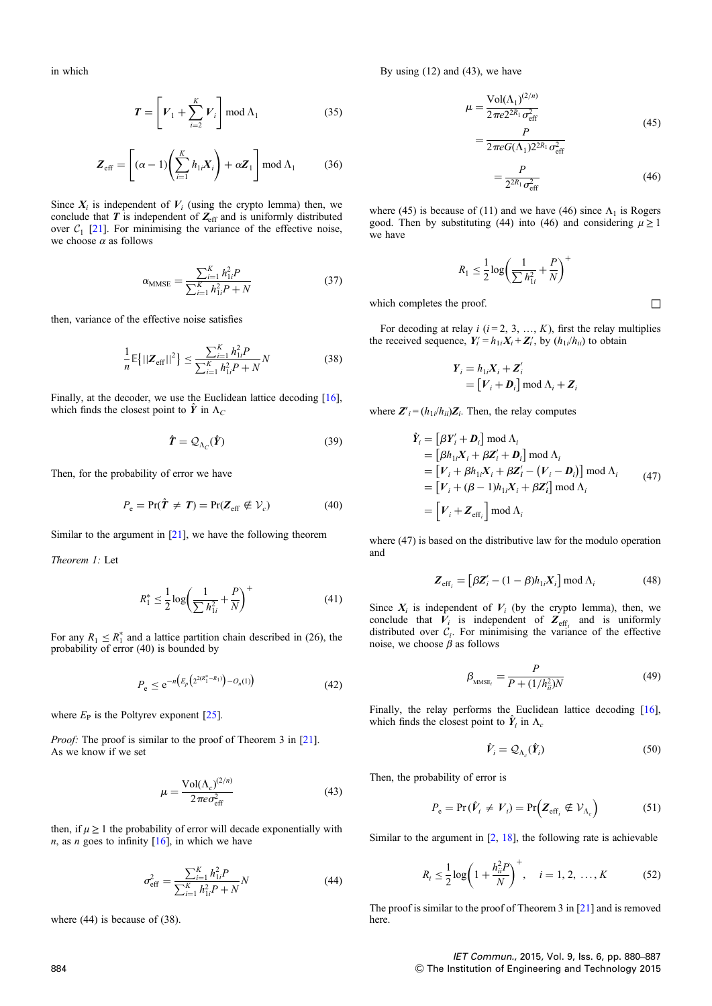in which

$$
\boldsymbol{T} = \left[ V_1 + \sum_{i=2}^{K} V_i \right] \text{mod } \Lambda_1 \tag{35}
$$

$$
\boldsymbol{Z}_{\text{eff}} = \left[ (\alpha - 1) \left( \sum_{i=1}^{K} h_{1i} \boldsymbol{X}_i \right) + \alpha \boldsymbol{Z}_1 \right] \text{mod } \Lambda_1 \tag{36}
$$

Since  $X_i$  is independent of  $V_i$  (using the crypto lemma) then, we conclude that  $T$  is independent of  $Z_{\text{eff}}$  and is uniformly distributed over  $C_1$  [21]. For minimising the variance of the effective noise, we choose  $\alpha$  as follows

$$
\alpha_{\text{MMSE}} = \frac{\sum_{i=1}^{K} h_{1i}^2 P}{\sum_{i=1}^{K} h_{1i}^2 P + N}
$$
(37)

then, variance of the effective noise satisfies

$$
\frac{1}{n}\mathbb{E}\left\{||\mathbf{Z}_{\text{eff}}||^{2}\right\} \leq \frac{\sum_{i=1}^{K} h_{1i}^{2} P}{\sum_{i=1}^{K} h_{1i}^{2} P + N} N
$$
\n(38)

Finally, at the decoder, we use the Euclidean lattice decoding [16], which finds the closest point to  $\hat{Y}$  in  $\Lambda_C$ 

$$
\hat{\boldsymbol{T}} = \mathcal{Q}_{\Lambda_C}(\hat{\boldsymbol{Y}}) \tag{39}
$$

Then, for the probability of error we have

$$
P_e = \Pr(\hat{T} \neq T) = \Pr(Z_{\text{eff}} \notin \mathcal{V}_c)
$$
\n(40)

Similar to the argument in  $[21]$ , we have the following theorem

Theorem 1: Let

$$
R_1^* \le \frac{1}{2} \log \left( \frac{1}{\sum h_{1i}^2} + \frac{P}{N} \right)^+ \tag{41}
$$

For any  $R_1 \leq R_1^*$  and a lattice partition chain described in (26), the probability of error (40) is bounded by

$$
P_e \le e^{-n\left(E_p\left(2^{2(R_1^* - R_1)}\right) - O_n(1)\right)}\tag{42}
$$

where  $E_P$  is the Poltyrev exponent [25].

*Proof:* The proof is similar to the proof of Theorem 3 in [21]. As we know if we set

$$
\mu = \frac{\text{Vol}(\Lambda_c)^{(2/n)}}{2\pi e \sigma_{\text{eff}}^2} \tag{43}
$$

then, if  $\mu \geq 1$  the probability of error will decade exponentially with  $n$ , as  $n$  goes to infinity [16], in which we have

$$
\sigma_{\text{eff}}^2 = \frac{\sum_{i=1}^K h_{1i}^2 P}{\sum_{i=1}^K h_{1i}^2 P + N} N \tag{44}
$$

where (44) is because of (38).

By using (12) and (43), we have

$$
\mu = \frac{\text{Vol}(\Lambda_1)^{(2/n)}}{2\pi e^{2^{2R_1}} \sigma_{\text{eff}}^2}
$$
\n
$$
= \frac{P}{2\pi e G(\Lambda_1)^{2^{2R_1}} \sigma_{\text{eff}}^2}
$$
\n
$$
= \frac{P}{2^{2R_1} \sigma_{\text{eff}}^2}
$$
\n(46)

where (45) is because of (11) and we have (46) since  $\Lambda_1$  is Rogers good. Then by substituting (44) into (46) and considering  $\mu \ge 1$ we have

$$
R_1 \le \frac{1}{2} \log \left( \frac{1}{\sum h_{1i}^2} + \frac{P}{N} \right)^+
$$

which completes the proof.  $\Box$ 

For decoding at relay  $i$  ( $i = 2, 3, ..., K$ ), first the relay multiplies the received sequence,  $Y_i' = h_{1i}X_i + Z_i'$ , by  $(h_{1i}/h_{ii})$  to obtain

$$
Y_i = h_{1i}X_i + Z'_i
$$
  
=  $[V_i + D_i] \text{ mod } \Lambda_i + Z_i$ 

where  $Z'_{i} = (h_{1i}/h_{ii})Z_{i}$ . Then, the relay computes

$$
\hat{\mathbf{Y}}_i = [\beta \mathbf{Y}_i' + \mathbf{D}_i] \mod \Lambda_i
$$
\n
$$
= [\beta h_{1i} X_i + \beta Z_i' + \mathbf{D}_i] \mod \Lambda_i
$$
\n
$$
= [\mathbf{V}_i + \beta h_{1i} X_i + \beta Z_i' - (\mathbf{V}_i - \mathbf{D}_i)] \mod \Lambda_i
$$
\n
$$
= [\mathbf{V}_i + (\beta - 1)h_{1i} X_i + \beta Z_i'] \mod \Lambda_i
$$
\n
$$
= [\mathbf{V}_i + \mathbf{Z}_{\text{eff}_i}] \mod \Lambda_i
$$
\n(47)

where (47) is based on the distributive law for the modulo operation and

$$
\mathbf{Z}_{\text{eff}_i} = \left[ \beta \mathbf{Z}_i' - (1 - \beta) h_{1i} \mathbf{X}_i \right] \text{mod } \Lambda_i \tag{48}
$$

Since  $X_i$  is independent of  $V_i$  (by the crypto lemma), then, we conclude that  $\overline{V}_i$  is independent of  $\overline{Z}_{\text{eff}_i}$  and is uniformly distributed over  $\mathcal{C}_i$ . For minimising the variance of the effective noise, we choose  $\beta$  as follows

$$
\beta_{\text{MMSE}_{i}} = \frac{P}{P + (1/h_{ii}^2)N}
$$
(49)

Finally, the relay performs the Euclidean lattice decoding [16], which finds the closest point to  $\hat{Y}_i$  in  $\Lambda_c$ 

$$
\hat{V}_i = \mathcal{Q}_{\Lambda_c}(\hat{Y}_i)
$$
\n(50)

Then, the probability of error is

$$
P_e = \Pr(\hat{V}_i \neq V_i) = \Pr(Z_{\text{eff}_i} \notin \mathcal{V}_{\Lambda_c})
$$
 (51)

Similar to the argument in  $[2, 18]$ , the following rate is achievable

$$
R_i \le \frac{1}{2} \log \left( 1 + \frac{h_{ii}^2 P}{N} \right)^+, \quad i = 1, 2, ..., K \tag{52}
$$

The proof is similar to the proof of Theorem 3 in [21] and is removed here.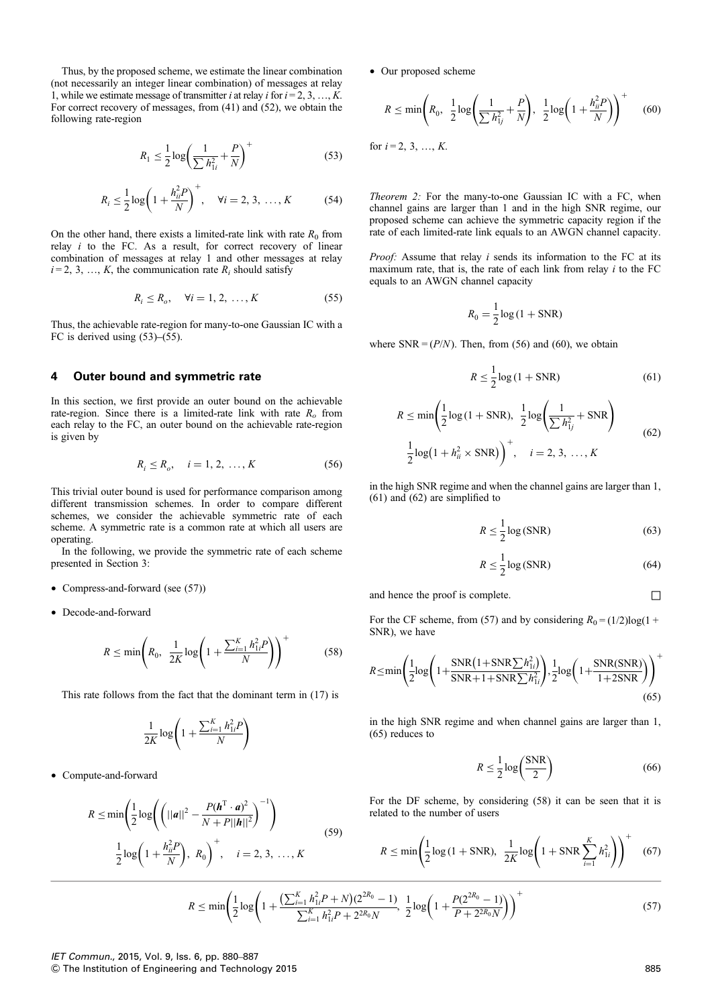Thus, by the proposed scheme, we estimate the linear combination (not necessarily an integer linear combination) of messages at relay 1, while we estimate message of transmitter *i* at relay *i* for  $i = 2, 3, ..., K$ . For correct recovery of messages, from (41) and (52), we obtain the following rate-region

$$
R_1 \le \frac{1}{2} \log \left( \frac{1}{\sum h_{1i}^2} + \frac{P}{N} \right)^{+}
$$
 (53)

$$
R_i \le \frac{1}{2} \log \left( 1 + \frac{h_{ii}^2 P}{N} \right)^+, \quad \forall i = 2, 3, ..., K \tag{54}
$$

On the other hand, there exists a limited-rate link with rate  $R_0$  from relay  $i$  to the FC. As a result, for correct recovery of linear combination of messages at relay 1 and other messages at relay  $i = 2, 3, ..., K$ , the communication rate  $R_i$  should satisfy

$$
R_i \le R_o, \quad \forall i = 1, 2, \dots, K \tag{55}
$$

Thus, the achievable rate-region for many-to-one Gaussian IC with a FC is derived using (53)–(55).

# 4 Outer bound and symmetric rate

In this section, we first provide an outer bound on the achievable rate-region. Since there is a limited-rate link with rate  $R_0$  from each relay to the FC, an outer bound on the achievable rate-region is given by

$$
R_i \le R_o, \quad i = 1, 2, \dots, K
$$
 (56)

This trivial outer bound is used for performance comparison among different transmission schemes. In order to compare different schemes, we consider the achievable symmetric rate of each scheme. A symmetric rate is a common rate at which all users are operating.

In the following, we provide the symmetric rate of each scheme presented in Section 3:

- Compress-and-forward (see (57))
- Decode-and-forward

$$
R \le \min\left(R_0, \ \frac{1}{2K}\log\left(1 + \frac{\sum_{i=1}^{K} h_{1i}^2 P}{N}\right)\right)^{+}
$$
(58)

This rate follows from the fact that the dominant term in (17) is

$$
\frac{1}{2K}\log\left(1+\frac{\sum_{i=1}^K h_{1i}^2 P}{N}\right)
$$

† Compute-and-forward

$$
R \le \min\left(\frac{1}{2}\log\left(\left(||\mathbf{a}||^2 - \frac{P(\mathbf{h}^{\mathrm{T}} \cdot \mathbf{a})^2}{N + P||\mathbf{h}||^2}\right)^{-1}\right)\right)
$$
  

$$
\frac{1}{2}\log\left(1 + \frac{h_{ii}^2 P}{N}\right), R_0\right)^+, \quad i = 2, 3, ..., K
$$
 (59)

† Our proposed scheme

$$
R \le \min\left(R_0, \ \frac{1}{2}\log\left(\frac{1}{\sum h_{1j}^2} + \frac{P}{N}\right), \ \frac{1}{2}\log\left(1 + \frac{h_{ii}^2 P}{N}\right)\right)^{+} \tag{60}
$$

for  $i = 2, 3, ..., K$ .

Theorem 2: For the many-to-one Gaussian IC with a FC, when channel gains are larger than 1 and in the high SNR regime, our proposed scheme can achieve the symmetric capacity region if the rate of each limited-rate link equals to an AWGN channel capacity.

Proof: Assume that relay i sends its information to the FC at its maximum rate, that is, the rate of each link from relay  $i$  to the FC equals to an AWGN channel capacity

$$
R_0 = \frac{1}{2}\log\left(1 + \text{SNR}\right)
$$

where  $SNR = (P/N)$ . Then, from (56) and (60), we obtain

$$
R \le \frac{1}{2}\log\left(1 + \text{SNR}\right) \tag{61}
$$

$$
R \le \min\left(\frac{1}{2}\log\left(1 + \text{SNR}\right), \frac{1}{2}\log\left(\frac{1}{\sum h_{1j}^2} + \text{SNR}\right)\right)
$$

$$
\frac{1}{2}\log\left(1 + h_{ii}^2 \times \text{SNR}\right)\right)^+, \quad i = 2, 3, \dots, K
$$

$$
(62)
$$

in the high SNR regime and when the channel gains are larger than 1, (61) and (62) are simplified to

$$
R \le \frac{1}{2} \log(\text{SNR})\tag{63}
$$

$$
R \le \frac{1}{2} \log(\text{SNR}) \tag{64}
$$

and hence the proof is complete.  $□$ 

For the CF scheme, from (57) and by considering  $R_0 = (1/2)\log(1 +$ SNR), we have

$$
R \le \min\left(\frac{1}{2}\log\left(1+\frac{\text{SNR}\left(1+\text{SNR}\sum h_{1i}^2\right)}{\text{SNR}+1+\text{SNR}\sum h_{1i}^2}\right), \frac{1}{2}\log\left(1+\frac{\text{SNR}(\text{SNR})}{1+2\text{SNR}}\right)\right)^+\tag{65}
$$

in the high SNR regime and when channel gains are larger than 1, (65) reduces to

$$
R \le \frac{1}{2} \log \left( \frac{\text{SNR}}{2} \right) \tag{66}
$$

For the DF scheme, by considering (58) it can be seen that it is related to the number of users

$$
R \le \min\left(\frac{1}{2}\log\left(1 + \text{SNR}\right), \ \ \frac{1}{2K}\log\left(1 + \text{SNR}\sum_{i=1}^{K} h_{1i}^{2}\right)\right)^{+} \tag{67}
$$

$$
R \le \min\left(\frac{1}{2}\log\left(1 + \frac{\left(\sum_{i=1}^{K} h_{1i}^{2} P + N\right)\left(2^{2R_{0}} - 1\right)}{\sum_{i=1}^{K} h_{1i}^{2} P + 2^{2R_{0}} N}, \frac{1}{2}\log\left(1 + \frac{P(2^{2R_{0}} - 1)}{P + 2^{2R_{0}} N}\right)\right)\right)^{+}
$$
(57)

# IET Commun., 2015, Vol. 9, Iss. 6, pp. 880–887

& The Institution of Engineering and Technology 2015 885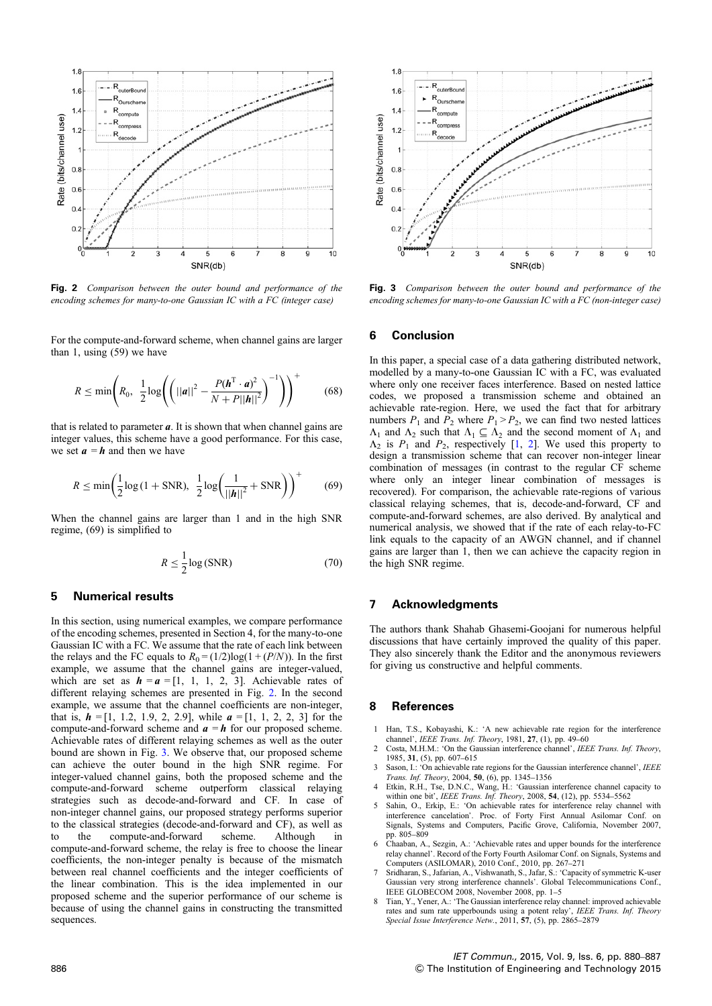

Fig. 2 Comparison between the outer bound and performance of the encoding schemes for many-to-one Gaussian IC with a FC (integer case)

For the compute-and-forward scheme, when channel gains are larger than 1, using (59) we have

$$
R \leq \min\left(R_0, \ \frac{1}{2}\log\left(\left(||\mathbf{a}||^2 - \frac{P(\mathbf{h}^{\mathrm{T}} \cdot \mathbf{a})^2}{N + P||\mathbf{h}||^2}\right)^{-1}\right)\right)^{+} \tag{68}
$$

that is related to parameter  $a$ . It is shown that when channel gains are integer values, this scheme have a good performance. For this case, we set  $a = h$  and then we have

$$
R \le \min\left(\frac{1}{2}\log\left(1 + \text{SNR}\right), \ \frac{1}{2}\log\left(\frac{1}{||\mathbf{h}||^2} + \text{SNR}\right)\right)^{+} \tag{69}
$$

When the channel gains are larger than 1 and in the high SNR regime, (69) is simplified to

$$
R \le \frac{1}{2} \log(\text{SNR})\tag{70}
$$

# 5 Numerical results

In this section, using numerical examples, we compare performance of the encoding schemes, presented in Section 4, for the many-to-one Gaussian IC with a FC. We assume that the rate of each link between the relays and the FC equals to  $R_0 = (1/2)\log(1 + (P/N))$ . In the first example, we assume that the channel gains are integer-valued, which are set as  $h = a = [1, 1, 1, 2, 3]$ . Achievable rates of different relaying schemes are presented in Fig. 2. In the second example, we assume that the channel coefficients are non-integer, that is,  $h = [1, 1.2, 1.9, 2, 2.9]$ , while  $a = [1, 1, 2, 2, 3]$  for the compute-and-forward scheme and  $\mathbf{a} = \mathbf{h}$  for our proposed scheme. Achievable rates of different relaying schemes as well as the outer bound are shown in Fig. 3. We observe that, our proposed scheme can achieve the outer bound in the high SNR regime. For integer-valued channel gains, both the proposed scheme and the compute-and-forward scheme outperform classical relaying strategies such as decode-and-forward and CF. In case of non-integer channel gains, our proposed strategy performs superior to the classical strategies (decode-and-forward and CF), as well as to the compute-and-forward scheme. Although in compute-and-forward scheme, the relay is free to choose the linear coefficients, the non-integer penalty is because of the mismatch between real channel coefficients and the integer coefficients of the linear combination. This is the idea implemented in our proposed scheme and the superior performance of our scheme is because of using the channel gains in constructing the transmitted sequences.



Fig. 3 Comparison between the outer bound and performance of the encoding schemes for many-to-one Gaussian IC with a FC (non-integer case)

## 6 Conclusion

In this paper, a special case of a data gathering distributed network, modelled by a many-to-one Gaussian IC with a FC, was evaluated where only one receiver faces interference. Based on nested lattice codes, we proposed a transmission scheme and obtained an achievable rate-region. Here, we used the fact that for arbitrary numbers  $P_1$  and  $P_2$  where  $P_1 > P_2$ , we can find two nested lattices  $\Lambda_1$  and  $\Lambda_2$  such that  $\Lambda_1 \subseteq \Lambda_2$  and the second moment of  $\Lambda_1$  and  $\Lambda_2$  is  $P_1$  and  $P_2$ , respectively [1, 2]. We used this property to design a transmission scheme that can recover non-integer linear combination of messages (in contrast to the regular CF scheme where only an integer linear combination of messages is recovered). For comparison, the achievable rate-regions of various classical relaying schemes, that is, decode-and-forward, CF and compute-and-forward schemes, are also derived. By analytical and numerical analysis, we showed that if the rate of each relay-to-FC link equals to the capacity of an AWGN channel, and if channel gains are larger than 1, then we can achieve the capacity region in the high SNR regime.

# 7 Acknowledgments

The authors thank Shahab Ghasemi-Goojani for numerous helpful discussions that have certainly improved the quality of this paper. They also sincerely thank the Editor and the anonymous reviewers for giving us constructive and helpful comments.

#### 8 References

- 1 Han, T.S., Kobayashi, K.: 'A new achievable rate region for the interference channel', IEEE Trans. Inf. Theory, 1981, 27, (1), pp. 49–60
- Costa, M.H.M.: 'On the Gaussian interference channel', IEEE Trans. Inf. Theory, 1985, 31, (5), pp. 607–615
- Sason, I.: 'On achievable rate regions for the Gaussian interference channel', IEEE Trans. Inf. Theory, 2004, 50, (6), pp. 1345–1356
- 4 Etkin, R.H., Tse, D.N.C., Wang, H.: 'Gaussian interference channel capacity to within one bit', IEEE Trans. Inf. Theory, 2008, 54, (12), pp. 5534–5562
- 5 Sahin, O., Erkip, E.: 'On achievable rates for interference relay channel with interference cancelation'. Proc. of Forty First Annual Asilomar Conf. on Signals, Systems and Computers, Pacific Grove, California, November 2007, pp. 805–809
- 6 Chaaban, A., Sezgin, A.: 'Achievable rates and upper bounds for the interference relay channel'. Record of the Forty Fourth Asilomar Conf. on Signals, Systems and Computers (ASILOMAR), 2010 Conf., 2010, pp. 267–271
- 7 Sridharan, S., Jafarian, A., Vishwanath, S., Jafar, S.: 'Capacity of symmetric K-user Gaussian very strong interference channels'. Global Telecommunications Conf., IEEE GLOBECOM 2008, November 2008, pp. 1–5
- Tian, Y., Yener, A.: 'The Gaussian interference relay channel: improved achievable rates and sum rate upperbounds using a potent relay', IEEE Trans. Inf. Theory Special Issue Interference Netw., 2011, 57, (5), pp. 2865–2879